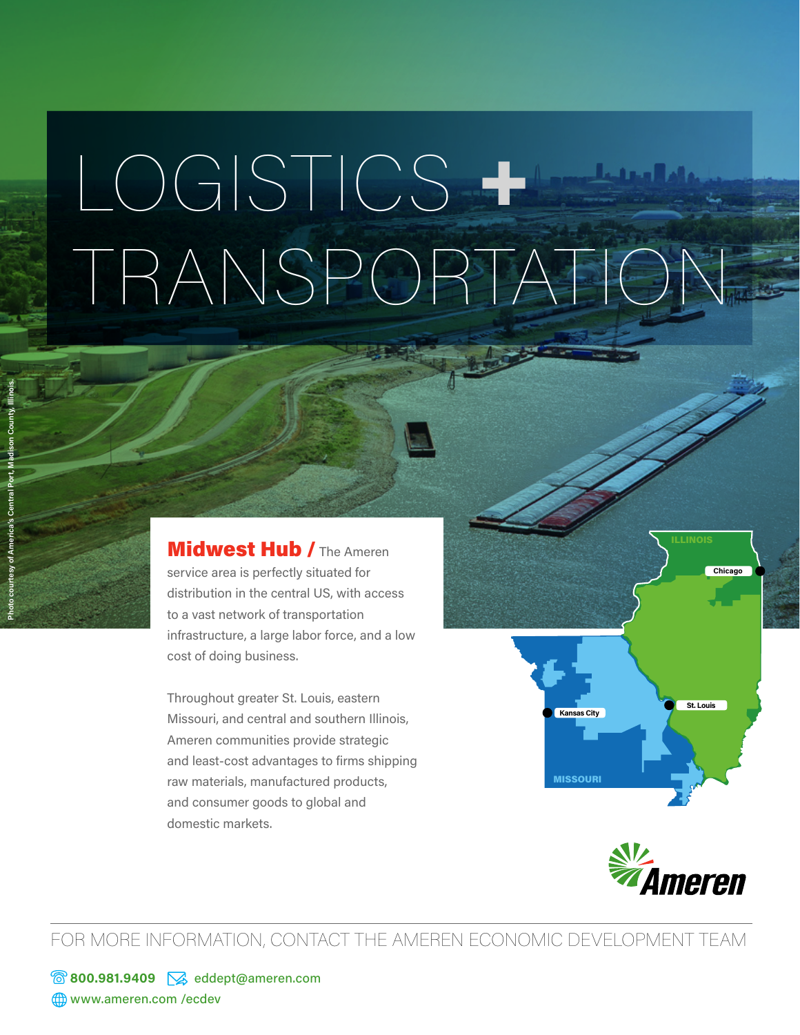## LOGISTICS + TRANSPORTATION

Midwest Hub / The Ameren service area is perfectly situated for distribution in the central US, with access to a vast network of transportation infrastructure, a large labor force, and a low cost of doing business.

Throughout greater St. Louis, eastern Missouri, and central and southern Illinois, Ameren communities provide strategic and least-cost advantages to firms shipping raw materials, manufactured products, and consumer goods to global and domestic markets.



**St. Louis Kansas City**

**Chicago**

MISSOURI

FOR MORE INFORMATION, CONTACT THE AMEREN ECONOMIC DEVELOPMENT TEAM